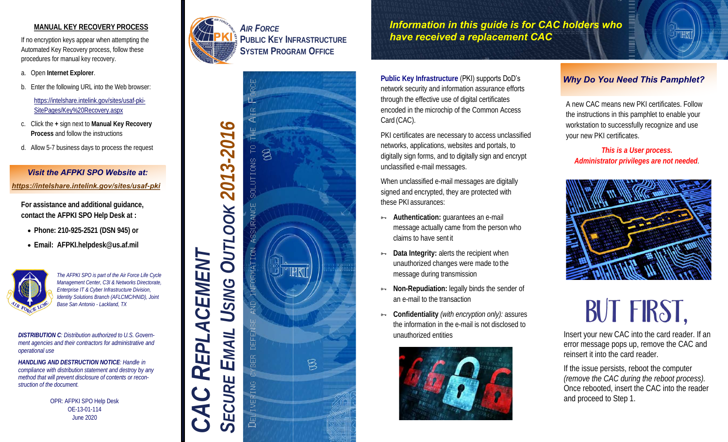#### **MANUAL KEY RECOVERY PROCESS**

If no encryption keys appear when attempting the Automated Key Recovery process, follow these procedures for manual key recovery.

- a. Open **Internet Explorer**.
- b. Enter the following URL into the Web browser:

[https://intelshare.intelink.gov/sites/usaf-pki-](https://intelshare.intelink.gov/sites/usaf-pki-SitePages/Key%20Recovery.aspx)[SitePages/Key%20Recovery.aspx](https://intelshare.intelink.gov/sites/usaf-pki-SitePages/Key%20Recovery.aspx)

- c. Click the **+** sign next to **Manual Key Recovery Process** and follow the instructions
- d. Allow 5-7 business days to process the request

#### *Visit the AFPKI SPO Website at: [https://intelshare.intelink.gov/sites/usaf](https://intelshare.intelink.gov/sites/usaf-pki)-pki*

**For assistance and additional guidance, contact the AFPKI SPO Help Desk at :**

- **Phone: 210-925-2521 (DSN 945) or**
- **Email: AFPKI.helpdesk@us.af.mil**



*The AFPKI SPO is part of the Air Force Life Cycle Management Center, C3I & Networks Directorate, Enterprise IT & Cyber Infrastructure Division, Identity Solutions Branch (AFLCMC/HNID), Joint Base San Antonio - Lackland, TX*

*DISTRIBUTION C: Distribution authorized to U.S. Government agencies and their contractors for administrative and operational use*

*HANDLING AND DESTRUCTION NOTICE: Handle in compliance with distribution statement and destroy by any method that will prevent disclosure of contents or reconstruction of the document.*

> OPR: AFPKI SPO Help Desk OE-13-01-114 June 2020



*AIR FORCE* **PUBLIC KEY INFRASTRUCTURE SYSTEM PROGRAM OFFICE**



*Information in this guide is for CAC holders who have received a replacement CAC*

Public Key Infrastructure (PKI) supports DoD's network security and information assurance efforts through the effective use of digital certificates encoded in the microchip of the Common Access Card (CAC).

PKI certificates are necessary to access unclassified networks, applications, websites and portals, to digitally sign forms, and to digitally sign and encrypt unclassified e-mail messages.

When unclassified e-mail messages are digitally signed and encrypted, they are protected with these PKI assurances:

- **Authentication: guarantees an e-mail** message actually came from the person who claims to have sent it
- **Data Integrity: alerts the recipient when** unauthorized changes were made to the message during transmission
- **H** Non-Repudiation: legally binds the sender of an e-mail to the transaction
- **Confidentiality** *(with encryption only):* assures the information in the e-mail is not disclosed to unauthorized entities



#### *Why Do You Need This Pamphlet?*

A new CAC means new PKI certificates. Follow the instructions in this pamphlet to enable your workstation to successfully recognize and use your new PKI certificates.

*This is a User process. Administrator privileges are not needed.*



# **BUT FIRST,**

Insert your new CAC into the card reader. If an error message pops up, remove the CAC and reinsert it into the card reader.

If the issue persists, reboot the computer *(remove the CAC during the reboot process).* Once rebooted, insert the CAC into the reader and proceed to Step 1.